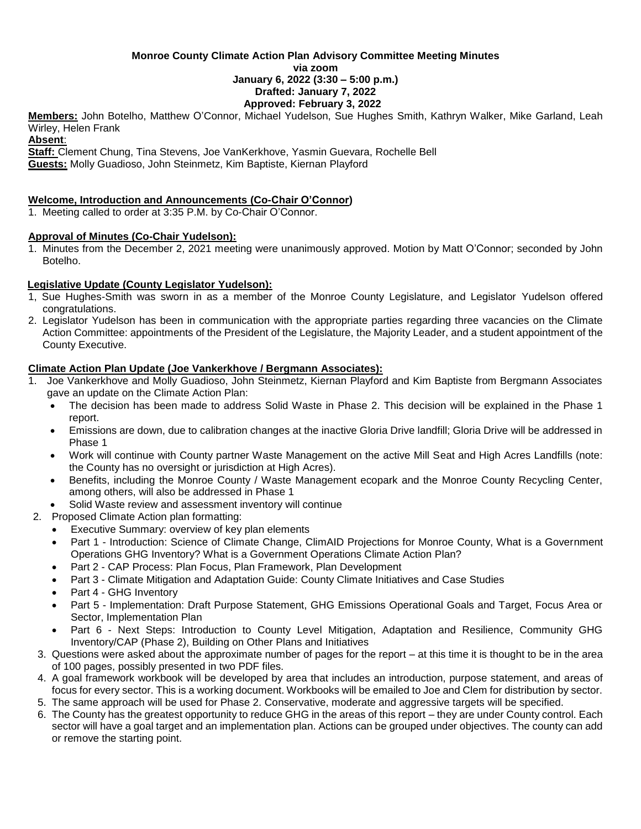#### **Monroe County Climate Action Plan Advisory Committee Meeting Minutes via zoom January 6, 2022 (3:30 – 5:00 p.m.) Drafted: January 7, 2022 Approved: February 3, 2022**

**Members:** John Botelho, Matthew O'Connor, Michael Yudelson, Sue Hughes Smith, Kathryn Walker, Mike Garland, Leah Wirley, Helen Frank

#### **Absent**:

**Staff:** Clement Chung, Tina Stevens, Joe VanKerkhove, Yasmin Guevara, Rochelle Bell **Guests:** Molly Guadioso, John Steinmetz, Kim Baptiste, Kiernan Playford

## **Welcome, Introduction and Announcements (Co-Chair O'Connor)**

1. Meeting called to order at 3:35 P.M. by Co-Chair O'Connor.

## **Approval of Minutes (Co-Chair Yudelson):**

1. Minutes from the December 2, 2021 meeting were unanimously approved. Motion by Matt O'Connor; seconded by John Botelho.

## **Legislative Update (County Legislator Yudelson):**

- 1, Sue Hughes-Smith was sworn in as a member of the Monroe County Legislature, and Legislator Yudelson offered congratulations.
- 2. Legislator Yudelson has been in communication with the appropriate parties regarding three vacancies on the Climate Action Committee: appointments of the President of the Legislature, the Majority Leader, and a student appointment of the County Executive.

## **Climate Action Plan Update (Joe Vankerkhove / Bergmann Associates):**

- 1. Joe Vankerkhove and Molly Guadioso, John Steinmetz, Kiernan Playford and Kim Baptiste from Bergmann Associates gave an update on the Climate Action Plan:
	- The decision has been made to address Solid Waste in Phase 2. This decision will be explained in the Phase 1 report.
	- Emissions are down, due to calibration changes at the inactive Gloria Drive landfill; Gloria Drive will be addressed in Phase 1
	- Work will continue with County partner Waste Management on the active Mill Seat and High Acres Landfills (note: the County has no oversight or jurisdiction at High Acres).
	- Benefits, including the Monroe County / Waste Management ecopark and the Monroe County Recycling Center, among others, will also be addressed in Phase 1
	- Solid Waste review and assessment inventory will continue
- 2. Proposed Climate Action plan formatting:
	- Executive Summary: overview of key plan elements
	- Part 1 Introduction: Science of Climate Change, ClimAID Projections for Monroe County, What is a Government Operations GHG Inventory? What is a Government Operations Climate Action Plan?
	- Part 2 CAP Process: Plan Focus, Plan Framework, Plan Development
	- Part 3 Climate Mitigation and Adaptation Guide: County Climate Initiatives and Case Studies
	- Part 4 GHG Inventory
	- Part 5 Implementation: Draft Purpose Statement, GHG Emissions Operational Goals and Target, Focus Area or Sector, Implementation Plan
	- Part 6 Next Steps: Introduction to County Level Mitigation, Adaptation and Resilience, Community GHG Inventory/CAP (Phase 2), Building on Other Plans and Initiatives
- 3. Questions were asked about the approximate number of pages for the report at this time it is thought to be in the area of 100 pages, possibly presented in two PDF files.
- 4. A goal framework workbook will be developed by area that includes an introduction, purpose statement, and areas of focus for every sector. This is a working document. Workbooks will be emailed to Joe and Clem for distribution by sector.
- 5. The same approach will be used for Phase 2. Conservative, moderate and aggressive targets will be specified.
- 6. The County has the greatest opportunity to reduce GHG in the areas of this report they are under County control. Each sector will have a goal target and an implementation plan. Actions can be grouped under objectives. The county can add or remove the starting point.